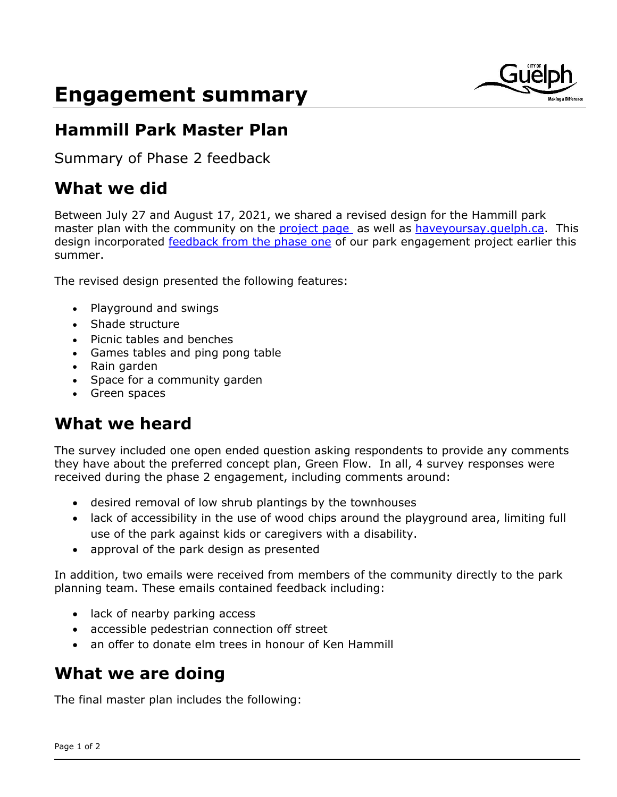# **Engagement summary**



## **Hammill Park Master Plan**

Summary of Phase 2 feedback

## **What we did**

Between July 27 and August 17, 2021, we shared a revised design for the Hammill park master plan with the community on the [project page](https://guelph.ca/plans-and-strategies/parks-trails-planning/hammill-park-master-plan/) as well as [haveyoursay.guelph.ca.](http://www.haveyoursay.guelph.ca/hammill-park) This design incorporated [feedback from the phase one](https://www.haveyoursay.guelph.ca/22351/widgets/90526/documents/62359) of our park engagement project earlier this summer.

The revised design presented the following features:

- Playground and swings
- Shade structure
- Picnic tables and benches
- Games tables and ping pong table
- Rain garden
- Space for a community garden
- Green spaces

## **What we heard**

The survey included one open ended question asking respondents to provide any comments they have about the preferred concept plan, Green Flow. In all, 4 survey responses were received during the phase 2 engagement, including comments around:

- desired removal of low shrub plantings by the townhouses
- lack of accessibility in the use of wood chips around the playground area, limiting full use of the park against kids or caregivers with a disability.
- approval of the park design as presented

In addition, two emails were received from members of the community directly to the park planning team. These emails contained feedback including:

- lack of nearby parking access
- accessible pedestrian connection off street
- an offer to donate elm trees in honour of Ken Hammill

## **What we are doing**

The final master plan includes the following: